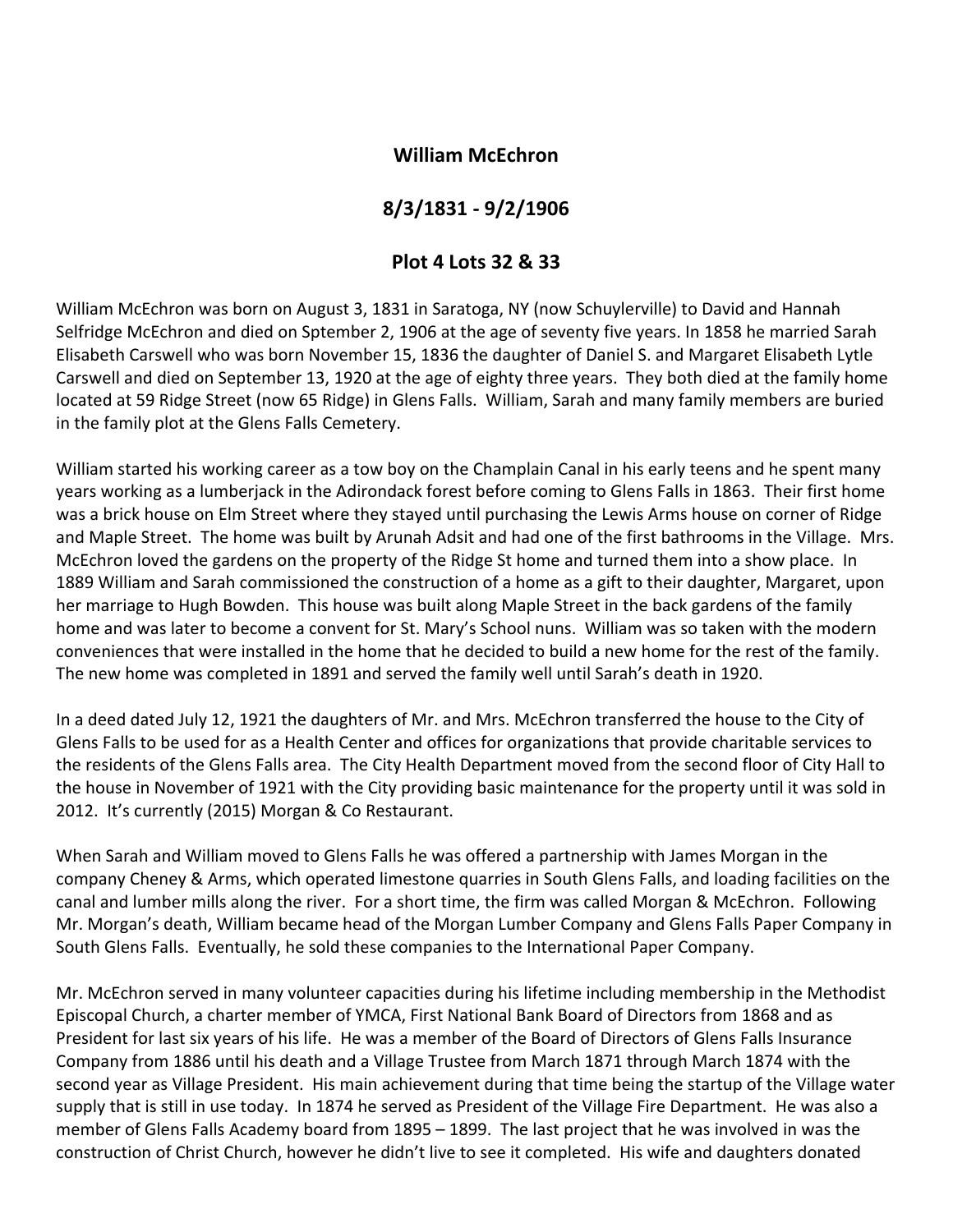## **William McEchron**

## **8/3/1831 ‐ 9/2/1906**

## **Plot 4 Lots 32 & 33**

William McEchron was born on August 3, 1831 in Saratoga, NY (now Schuylerville) to David and Hannah Selfridge McEchron and died on Sptember 2, 1906 at the age of seventy five years. In 1858 he married Sarah Elisabeth Carswell who was born November 15, 1836 the daughter of Daniel S. and Margaret Elisabeth Lytle Carswell and died on September 13, 1920 at the age of eighty three years. They both died at the family home located at 59 Ridge Street (now 65 Ridge) in Glens Falls. William, Sarah and many family members are buried in the family plot at the Glens Falls Cemetery.

William started his working career as a tow boy on the Champlain Canal in his early teens and he spent many years working as a lumberjack in the Adirondack forest before coming to Glens Falls in 1863. Their first home was a brick house on Elm Street where they stayed until purchasing the Lewis Arms house on corner of Ridge and Maple Street. The home was built by Arunah Adsit and had one of the first bathrooms in the Village. Mrs. McEchron loved the gardens on the property of the Ridge St home and turned them into a show place. In 1889 William and Sarah commissioned the construction of a home as a gift to their daughter, Margaret, upon her marriage to Hugh Bowden. This house was built along Maple Street in the back gardens of the family home and was later to become a convent for St. Mary's School nuns. William was so taken with the modern conveniences that were installed in the home that he decided to build a new home for the rest of the family. The new home was completed in 1891 and served the family well until Sarah's death in 1920.

In a deed dated July 12, 1921 the daughters of Mr. and Mrs. McEchron transferred the house to the City of Glens Falls to be used for as a Health Center and offices for organizations that provide charitable services to the residents of the Glens Falls area. The City Health Department moved from the second floor of City Hall to the house in November of 1921 with the City providing basic maintenance for the property until it was sold in 2012. It's currently (2015) Morgan & Co Restaurant.

When Sarah and William moved to Glens Falls he was offered a partnership with James Morgan in the company Cheney & Arms, which operated limestone quarries in South Glens Falls, and loading facilities on the canal and lumber mills along the river. For a short time, the firm was called Morgan & McEchron. Following Mr. Morgan's death, William became head of the Morgan Lumber Company and Glens Falls Paper Company in South Glens Falls. Eventually, he sold these companies to the International Paper Company.

Mr. McEchron served in many volunteer capacities during his lifetime including membership in the Methodist Episcopal Church, a charter member of YMCA, First National Bank Board of Directors from 1868 and as President for last six years of his life. He was a member of the Board of Directors of Glens Falls Insurance Company from 1886 until his death and a Village Trustee from March 1871 through March 1874 with the second year as Village President. His main achievement during that time being the startup of the Village water supply that is still in use today. In 1874 he served as President of the Village Fire Department. He was also a member of Glens Falls Academy board from 1895 – 1899. The last project that he was involved in was the construction of Christ Church, however he didn't live to see it completed. His wife and daughters donated